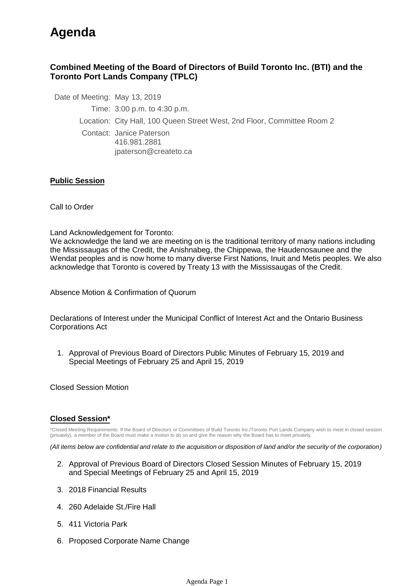# **Agenda**

### **Combined Meeting of the Board of Directors of Build Toronto Inc. (BTI) and the Toronto Port Lands Company (TPLC)**

Date of Meeting: May 13, 2019

Time: 3:00 p.m. to 4:30 p.m.

Location: City Hall, 100 Queen Street West, 2nd Floor, Committee Room 2

Contact: Janice Paterson 416.981.2881 jpaterson@createto.ca

#### **Public Session**

Call to Order

Land Acknowledgement for Toronto:

We acknowledge the land we are meeting on is the traditional territory of many nations including the Mississaugas of the Credit, the Anishnabeg, the Chippewa, the Haudenosaunee and the Wendat peoples and is now home to many diverse First Nations, Inuit and Metis peoples. We also acknowledge that Toronto is covered by Treaty 13 with the Mississaugas of the Credit.

Absence Motion & Confirmation of Quorum

Declarations of Interest under the Municipal Conflict of Interest Act and the Ontario Business Corporations Act

1. Approval of Previous Board of Directors Public Minutes of February 15, 2019 and Special Meetings of February 25 and April 15, 2019

Closed Session Motion

#### **Closed Session\***

\*Closed Meeting Requirements: If the Board of Directors or Committees of Build Toronto Inc./Toronto Port Lands Company wish to meet in closed session (privately), a member of the Board must make a motion to do so and give the reason why the Board has to meet privately.

*(All items below are confidential and relate to the acquisition or disposition of land and/or the security of the corporation)*

- 2. Approval of Previous Board of Directors Closed Session Minutes of February 15, 2019 and Special Meetings of February 25 and April 15, 2019
- 3. 2018 Financial Results
- 4. 260 Adelaide St./Fire Hall
- 5. 411 Victoria Park
- 6. Proposed Corporate Name Change